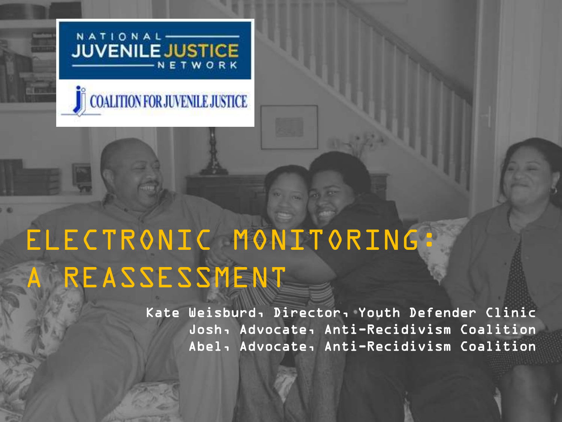#### NATIONAL-**JUVENILE JUSTICE**



### ELECTRONIC MONITORING: A REASSESSMENT

Kate Weisburd, Director, Youth Defender Clinic Josh, Advocate, Anti-Recidivism Coalition Abel, Advocate, Anti-Recidivism Coalition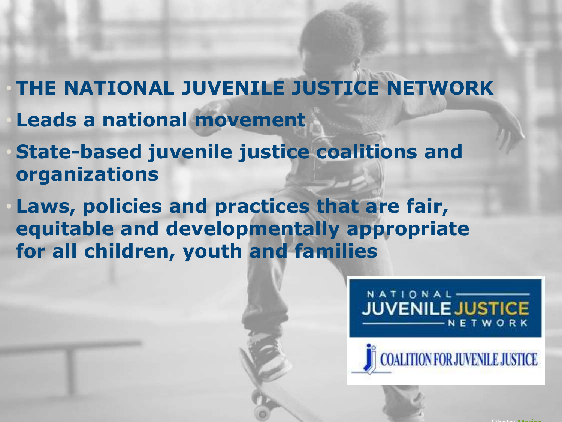- **THE NATIONAL JUVENILE JUSTICE NETWORK**
- **Leads a national movement**
- **State-based juvenile justice coalitions and organizations**
- **Laws, policies and practices that are fair, equitable and developmentally appropriate for all children, youth and families**



Photo: [Moriza](http://www.flickr.com/photos/moriza/4055334240/)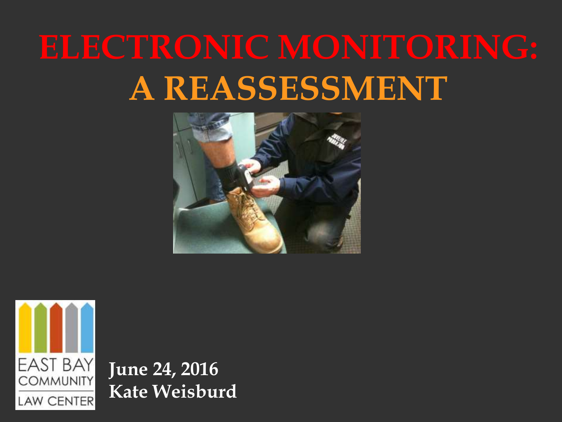## **ELECTRONIC MONITORING: A REASSESSMENT**





**June 24, 2016 Kate Weisburd**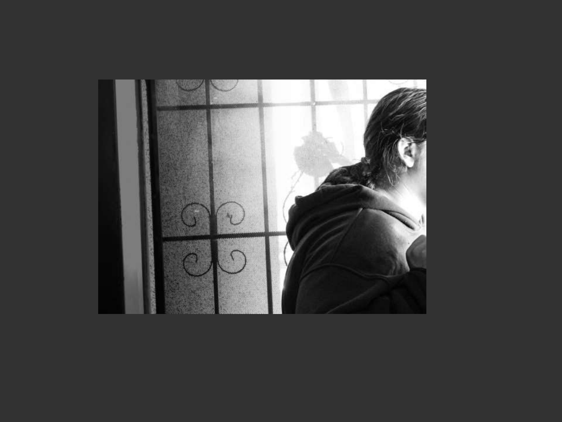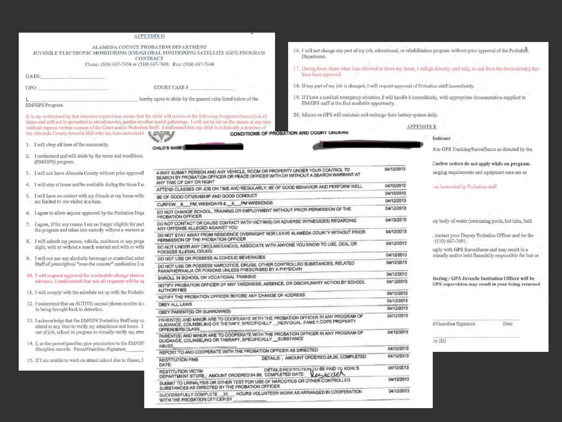#### **APPENDIX D**

#### ALAMEDA COUNTY PROBATION DEPARTMENT JUVENILE ELECTRONIC MONITORING (EM)/GLOBAL POSITIONING SATELLITE (GPS) PROGRAM CONTRACT Phone: (510) 667-7634 or (510) 667-7691 Fax: (510) 667-7644

DATE:

**DPO** 

COURT CASE #

CHILD'S NAMES

hereby agree to abide by the general rules listed below of the

EM/GPS Program.

It is my understanding that intensive supervision means that the child will remain at the following designated home(s) at all times and will not be permitted to attend movies, parties or other social gatherings. I will not be out on the streets at any time without express written consent of the Court and/or Probation Staff. I understand that my child is technically a detainee of the Alameda County Javenile Hall who has been entrusted to the product

- 16. I will not change any part of my job, educational, or rehabilitation program without prior approval of the Probation Department.
- 17. During those times when I am allowed to leave my home, I will go directly, and only, to and from the destination(s) that have been approved.
- 18. If any part of my job is changed, I will request approval of Probation staff immediately.
- 19. If I have a medical emergency situation, I will handle it immediately, with appropriate documentation supplied to EM/GPS staff at the first available opportunity.
- 20. Minors on GPS will maintain and recharge their battery system daily.
	- **APPENDIX E**

CONDITIONS OF PROBATION AND COURT UNDERS

- 1. I will obey all laws of the community.
- 2. I understand and will abide by the terms and conditions (EM/GPS) program.
- 3. I will not leave Alameda County without prior approval
- 4. I will stay at home and be available during the times I an
- 5. I will have no contact with my friends at my home with: am limited to one visitor at a time.
- 6. I agree to allow anyone approved by the Probation Depa
- 7. I agree, if for any reason I am no longer eligible for part the program and taken into custody without a warrant ar
- 8. I will submit my person, vehicle, residence or any prope night, with or without a search warrant and with or with
- 9. I will not use any alcoholic beverage or controlled subst Staff of prescription/ "over-the counter" medication I m
- 10. I will request approval for a schedule change (haircu advance. I understand that not all requests will be ap
- 11. I will comply with the schedule set up with the Probatio
- 12. I understand that an ACTIVE contact phone number is a in being brought back to detention.
- 13. I acknowledge that the EM/GPS Probation Staff may co attend at any time to verify my attendance and hours. I out of job, school or program to visually verify my atter
- 14. I, as the parent/guardian give permission to the EM/GP! discipline records. Parent/Guardian Signature
- 15. If I am unable to work on attend school due to illness, I

| ANY TIME OF DAY OR NIGHT                                                                                                                  | 4-WAY SUBMIT PERSON AND ANY VEHICLE, ROOM OR PROPERTY UNDER YOUR CONTROL TO<br>SEARCH BY PROBATION OFFICER OR PEACE OFFICER WITH OR WITHOUT A SEARCH WARRANT AT      | 04/12/2013 |
|-------------------------------------------------------------------------------------------------------------------------------------------|----------------------------------------------------------------------------------------------------------------------------------------------------------------------|------------|
|                                                                                                                                           | ATTEND CLASSES OR JOB ON TIME AND REGULARLY; BE OF GOOD BEHAVIOR AND PERFORM WELL                                                                                    | 04/12/2013 |
| BE OF GOOD CITIZENSHIP AND GOOD CONDUCT                                                                                                   |                                                                                                                                                                      | 04/12/2013 |
| CURFEW 9 PM WEEKDAYS & 9 PM WEEKENDS                                                                                                      |                                                                                                                                                                      | 04/12/2013 |
| PROBATION OFFICER                                                                                                                         | DO NOT CHANGE SCHOOL, TRAINING OR EMPLOYMENT WITHOUT PRIOR PERMISSION OF THE                                                                                         | 04/12/2013 |
| DO NOT CONTACT OR CAUSE CONTACT WITH VICTIMS) OR ADVERSE WITNESS(ES) REGARDING<br>ANY OFFENSE ALLEGED AGAINST YOU                         |                                                                                                                                                                      | 04/12/2013 |
| DO NOT STAY AWAY FROM RESIDENCE OVERNIGHT NOR LEAVE ALAMEDA COUNTY WITHOUT PRIOR<br>PERMISSION OF THE PROBATION OFFICER                   |                                                                                                                                                                      | 04/12/2013 |
| DO NOT UNDER ANY CIRCUMSTANCES, ASSOCIATE WITH ANYONE YOU KNOW TO USE, DEAL OR<br>POSSESS ILLEGAL DRUGS                                   |                                                                                                                                                                      | 04/12/2013 |
| DO NOT USE OR POSSESS ALCOHOLIC BEVERAGES                                                                                                 |                                                                                                                                                                      | 04/12/2013 |
| DO NOT USE OR POSSESS NARCOTICS, DRUGS, OTHER CONTROLLED SUBSTANCES, RELATED<br>PARAPHERNALIA OR POISONS UNLESS PRESCRIBED BY A PHYSICIAN |                                                                                                                                                                      | 04/12/2013 |
| ENROLL IN SCHOOL OR VOCATIONAL TRAINING                                                                                                   |                                                                                                                                                                      | 04/12/2013 |
| NOTIFY PROBATION OFFICER OF ANY TARDINESS, ABSENCE, OR DISCIPLINARY ACTION BY SCHOOL<br><b>AUTHORITIES</b>                                |                                                                                                                                                                      | 04/12/2013 |
| NOTIFY THE PROBATION OFFICER BEFORE ANY CHANGE OF ADDRESS                                                                                 |                                                                                                                                                                      | 04/12/2013 |
| <b>OBEY ALL LAWS</b>                                                                                                                      |                                                                                                                                                                      | 04/12/2013 |
| OBEY PARENT(S) OR GUARDIAN(S)                                                                                                             |                                                                                                                                                                      | 04/12/2013 |
|                                                                                                                                           | PARENT(S) AND MINOR ARE TO COOPERATE WITH THE PROBATION OFFICER IN ANY PROGRAM OF<br>GUIDANCE, COUNSELING OR THERAPY, SPECIFICALLY MIDIVIDUAL, FAMILY, COPS PROPERTY | 04/12/2013 |
| OFFENDERS CLASS<br>GUIDANCE, COUNSELING OR THERAPY, SPECIFICALLY __ SUBSTANCE<br>高田川宮原                                                    | PARENT(S) AND MINOR ARE TO COOPERATE WITH THE PROBATION OFFICER IN ANY PROGRAM OF                                                                                    | 04/12/2013 |
| REPORT TO AND COOPERATE WITH THE PROBATION OFFICER AS DIRECTED                                                                            |                                                                                                                                                                      | 04/12/2013 |
| RESTITUTION FINE<br>DATE:                                                                                                                 | DETAILS: ; AMOUNT ORDERED 25,00; COMPLETED                                                                                                                           | 04/12/2013 |
| RESTITUTION VICTIM<br>DEPARTMENT STORE.; AMOUNT ORDERED 54.99; COMPLETED DATE:                                                            | DETAILS RESTITUTION TO BE PAID TO KOHL'S<br>leserer                                                                                                                  | 04/12/2013 |
| SUBSTANCES AS DIRECTED BY THE PROBATION OFFICER                                                                                           | SUBMIT TO URINALYSIS OR OTHER TEST FOR USE OF NARCOTICS OR OTHER CONTROLLED                                                                                          | 04/12/2013 |
| WITH THE PROBATION OFFICER BY                                                                                                             | SUCCESSFULLY COMPLETE 20 HOURS VOLUNTEER WORK AS ARRANGED IN COOPERATION                                                                                             | 04/12/2013 |

**bationer** 

#### Curfew orders do not apply while on program. arging requirements and equipment care are as

it to GPS Tracking/Surveillance as directed by the

as instructed by Probation staff.

ny body of water (swimming pools, hot tubs, bath

, contact your Deputy Probation Officer and /or the  $(510)$  667-7691.

mply with GPS Surveillance and may result in a minally and/or held financially responsible for lost or

itoring / GPS Juvenile Institution Officer will be GPS supervision may result in your being returned

t/Guardian Signature

Date

or JIO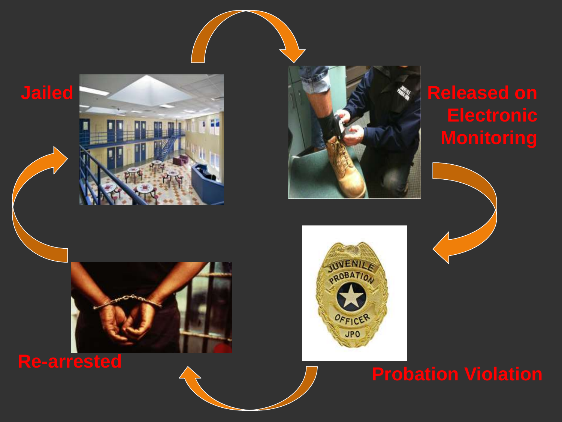

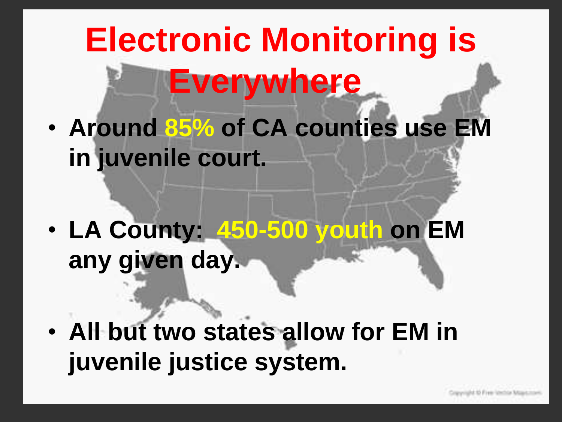# **Electronic Monitoring is Everywhere**

• **Around 85% of CA counties use EM in juvenile court.**

• **LA County: 450-500 youth on EM any given day.**

• **All but two states allow for EM in juvenile justice system.**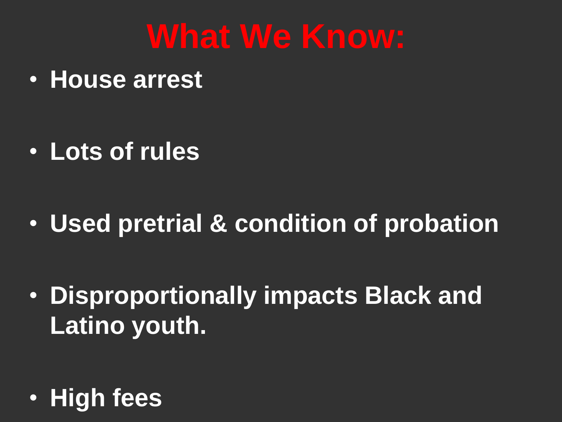## **What We Know:**

• **House arrest**

• **Lots of rules** 

• **Used pretrial & condition of probation** 

• **Disproportionally impacts Black and Latino youth.**

• **High fees**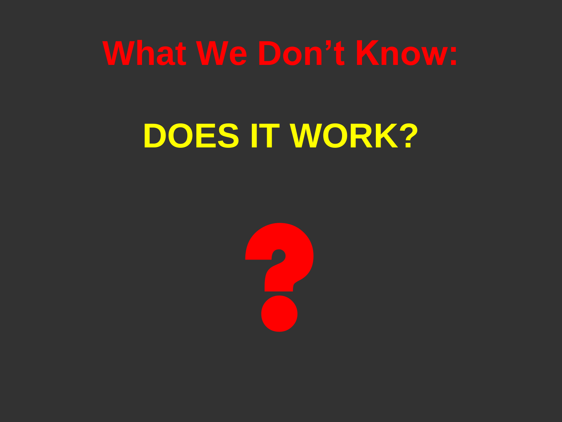### **What We Don't Know:**

## **DOES IT WORK?**

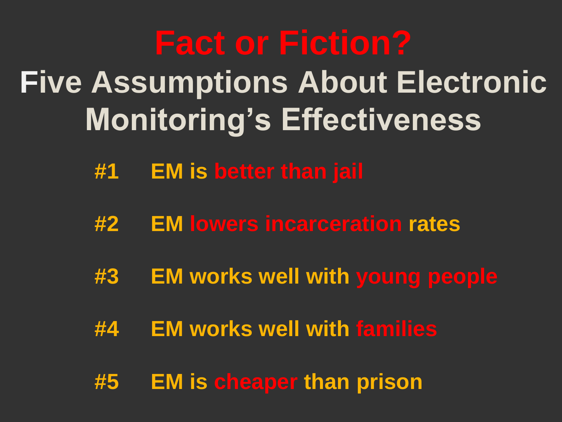## **Fact or Fiction? Five Assumptions About Electronic Monitoring's Effectiveness**

- **#1 EM is better than jail**
- **#2 EM lowers incarceration rates**
- **#3 EM works well with young people**
- **#4 EM works well with families**
- **#5 EM is cheaper than prison**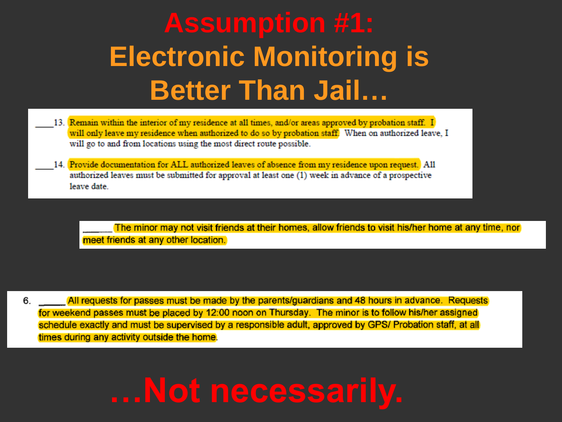#### **Assumption #1: Electronic Monitoring is Better Than Jail...**

- 13. Remain within the interior of my residence at all times, and/or areas approved by probation staff. I will only leave my residence when authorized to do so by probation staff. When on authorized leave, I will go to and from locations using the most direct route possible.
- 14. Provide documentation for ALL authorized leaves of absence from my residence upon request. All authorized leaves must be submitted for approval at least one (1) week in advance of a prospective leave date.

The minor may not visit friends at their homes, allow friends to visit his/her home at any time, nor meet friends at any other location.

6. All requests for passes must be made by the parents/guardians and 48 hours in advance. Requests for weekend passes must be placed by 12:00 noon on Thursday. The minor is to follow his/her assigned schedule exactly and must be supervised by a responsible adult, approved by GPS/ Probation staff, at all times during any activity outside the home.

### ...Not necessarily.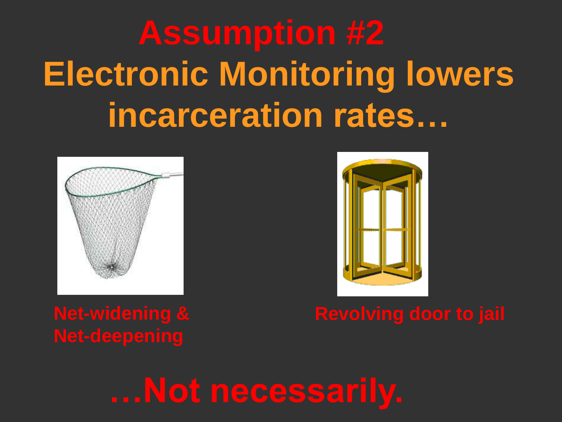# **Assumption #2 Electronic Monitoring lowers incarceration rates…**





# **Net-deepening**

#### **Revolving door to jail**

**…Not necessarily.**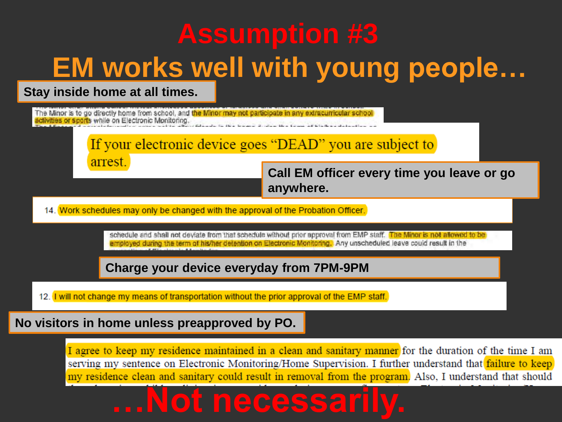#### **Assumption #3 EM works well with young people…**

**Stay inside home at all times.**



I agree to keep my residence maintained in a clean and sanitary manner for the duration of the time I am serving my sentence on Electronic Monitoring/Home Supervision. I further understand that failure to keep my residence clean and sanitary could result in removal from the program. Also, I understand that should

#### necessa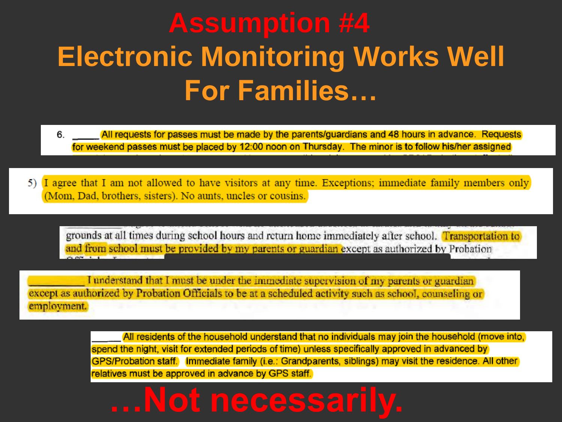#### **Assumption #4 Electronic Monitoring Works Well For Families…**

6. All requests for passes must be made by the parents/guardians and 48 hours in advance. Requests for weekend passes must be placed by 12:00 noon on Thursday. The minor is to follow his/her assigned

5) I agree that I am not allowed to have visitors at any time. Exceptions; immediate family members only (Mom, Dad, brothers, sisters). No aunts, uncles or cousins.

grounds at all times during school hours and return home immediately after school. Transportation to and from school must be provided by my parents or guardian except as authorized by Probation

I understand that I must be under the immediate supervision of my parents or guardian except as authorized by Probation Officials to be at a scheduled activity such as school, counseling or employment.

> All residents of the household understand that no individuals may join the household (move into, spend the night, visit for extended periods of time) unless specifically approved in advanced by GPS/Probation staff. Immediate family (i.e.: Grandparents, siblings) may visit the residence. All other relatives must be approved in advance by GPS staff.

#### …Not necessaril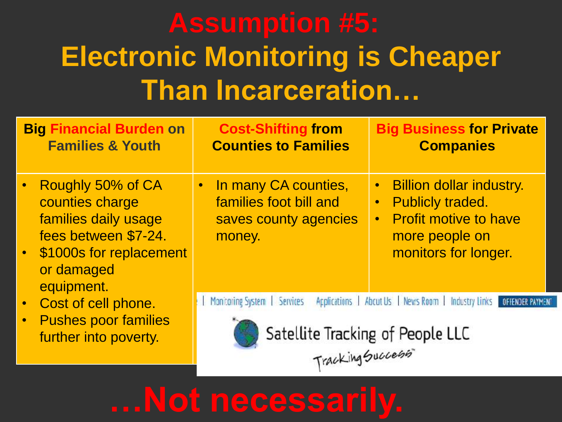#### **Assumption #5: Electronic Monitoring is Cheaper Than Incarceration…**

| <b>Big Financial Burden on</b><br><b>Families &amp; Youth</b>                                                                               | <b>Cost-Shifting from</b><br><b>Counties to Families</b>                                       | <b>Big Business for Private</b><br><b>Companies</b>                                                                                                                  |
|---------------------------------------------------------------------------------------------------------------------------------------------|------------------------------------------------------------------------------------------------|----------------------------------------------------------------------------------------------------------------------------------------------------------------------|
| Roughly 50% of CA<br>counties charge<br>families daily usage<br>fees between \$7-24.<br>\$1000s for replacement<br>or damaged<br>equipment. | In many CA counties,<br>$\bullet$<br>families foot bill and<br>saves county agencies<br>money. | <b>Billion dollar industry.</b><br>$\bullet$<br>Publicly traded.<br>$\bullet$<br><b>Profit motive to have</b><br>$\bullet$<br>more people on<br>monitors for longer. |
| Cost of cell phone.<br>$\bullet$<br><b>Pushes poor families</b><br>further into poverty.                                                    | Monitoring System   Services<br>Satellite Tracking of People LLC<br>Tracking Success           | Applications   Abcut Us   News Room   Industry Links   OFFENDER PAYMEN                                                                                               |

## **…Not necessarily.**